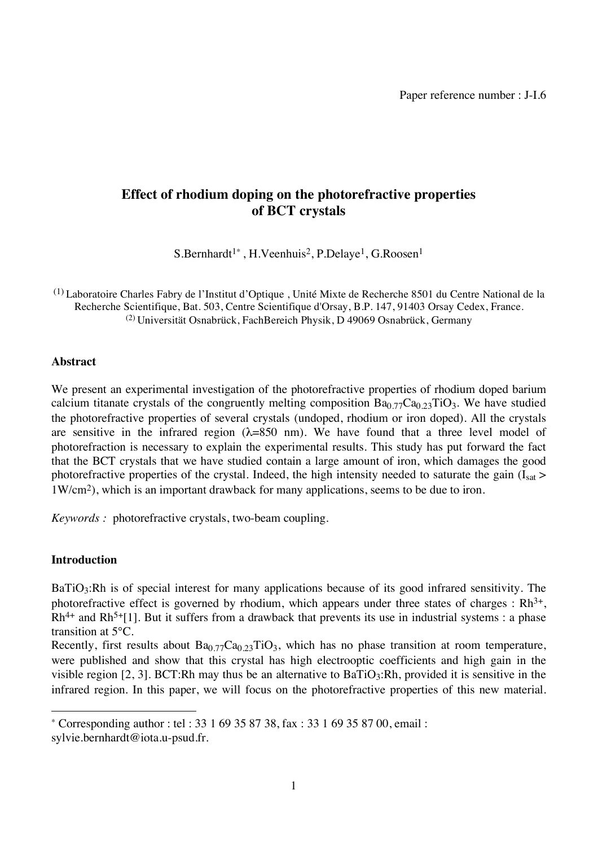# **Effect of rhodium doping on the photorefractive properties of BCT crystals**

S.Bernhardt1\* , H.Veenhuis2, P.Delaye1, G.Roosen1

(1) Laboratoire Charles Fabry de l'Institut d'Optique , Unité Mixte de Recherche 8501 du Centre National de la Recherche Scientifique, Bat. 503, Centre Scientifique d'Orsay, B.P. 147, 91403 Orsay Cedex, France. (2) Universität Osnabrück, FachBereich Physik, D 49069 Osnabrück, Germany

## **Abstract**

We present an experimental investigation of the photorefractive properties of rhodium doped barium calcium titanate crystals of the congruently melting composition  $Ba<sub>0.77</sub>Ca<sub>0.23</sub>TiO<sub>3</sub>$ . We have studied the photorefractive properties of several crystals (undoped, rhodium or iron doped). All the crystals are sensitive in the infrared region  $(\lambda=850 \text{ nm})$ . We have found that a three level model of photorefraction is necessary to explain the experimental results. This study has put forward the fact that the BCT crystals that we have studied contain a large amount of iron, which damages the good photorefractive properties of the crystal. Indeed, the high intensity needed to saturate the gain ( $I_{sat}$ ) 1W/cm2), which is an important drawback for many applications, seems to be due to iron.

*Keywords :* photorefractive crystals, two-beam coupling.

## **Introduction**

BaTiO<sub>3</sub>:Rh is of special interest for many applications because of its good infrared sensitivity. The photorefractive effect is governed by rhodium, which appears under three states of charges :  $Rh^{3+}$ ,  $Rh^{4+}$  and  $Rh^{5+}[1]$ . But it suffers from a drawback that prevents its use in industrial systems : a phase transition at 5°C.

Recently, first results about  $Ba<sub>0.77</sub>Ca<sub>0.23</sub>TiO<sub>3</sub>$ , which has no phase transition at room temperature, were published and show that this crystal has high electrooptic coefficients and high gain in the visible region [2, 3]. BCT:Rh may thus be an alternative to  $BaTiO<sub>3</sub>:Rh$ , provided it is sensitive in the infrared region. In this paper, we will focus on the photorefractive properties of this new material.

Corresponding author : tel : 33 1 69 35 87 38, fax : 33 1 69 35 87 00, email :

sylvie.bernhardt@iota.u-psud.fr.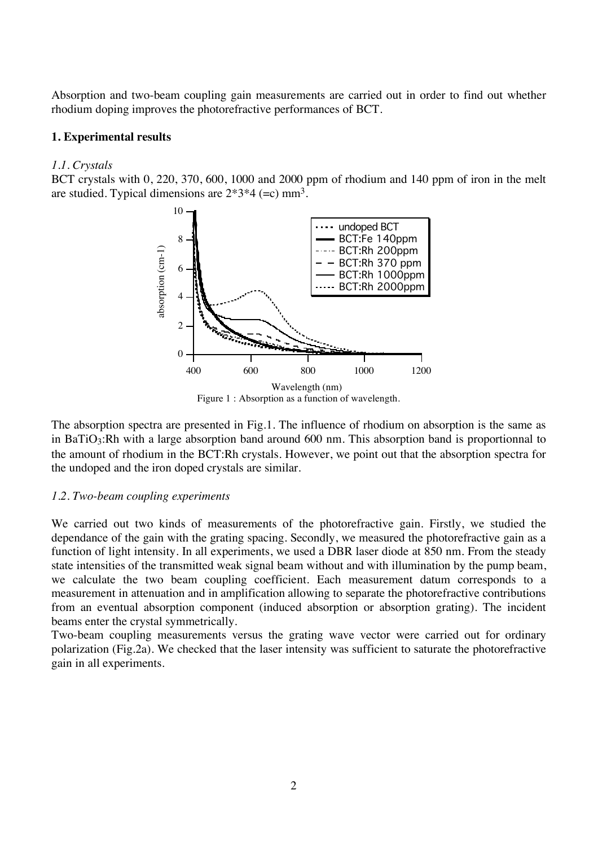Absorption and two-beam coupling gain measurements are carried out in order to find out whether rhodium doping improves the photorefractive performances of BCT.

## **1. Experimental results**

#### *1.1. Crystals*

BCT crystals with 0, 220, 370, 600, 1000 and 2000 ppm of rhodium and 140 ppm of iron in the melt are studied. Typical dimensions are  $2*3*4 (=c)$  mm<sup>3</sup>.



Figure 1 : Absorption as a function of wavelength.

The absorption spectra are presented in Fig.1. The influence of rhodium on absorption is the same as in BaTiO<sub>3</sub>:Rh with a large absorption band around 600 nm. This absorption band is proportionnal to the amount of rhodium in the BCT:Rh crystals. However, we point out that the absorption spectra for the undoped and the iron doped crystals are similar.

## *1.2. Two-beam coupling experiments*

We carried out two kinds of measurements of the photorefractive gain. Firstly, we studied the dependance of the gain with the grating spacing. Secondly, we measured the photorefractive gain as a function of light intensity. In all experiments, we used a DBR laser diode at 850 nm. From the steady state intensities of the transmitted weak signal beam without and with illumination by the pump beam, we calculate the two beam coupling coefficient. Each measurement datum corresponds to a measurement in attenuation and in amplification allowing to separate the photorefractive contributions from an eventual absorption component (induced absorption or absorption grating). The incident beams enter the crystal symmetrically.

Two-beam coupling measurements versus the grating wave vector were carried out for ordinary polarization (Fig.2a). We checked that the laser intensity was sufficient to saturate the photorefractive gain in all experiments.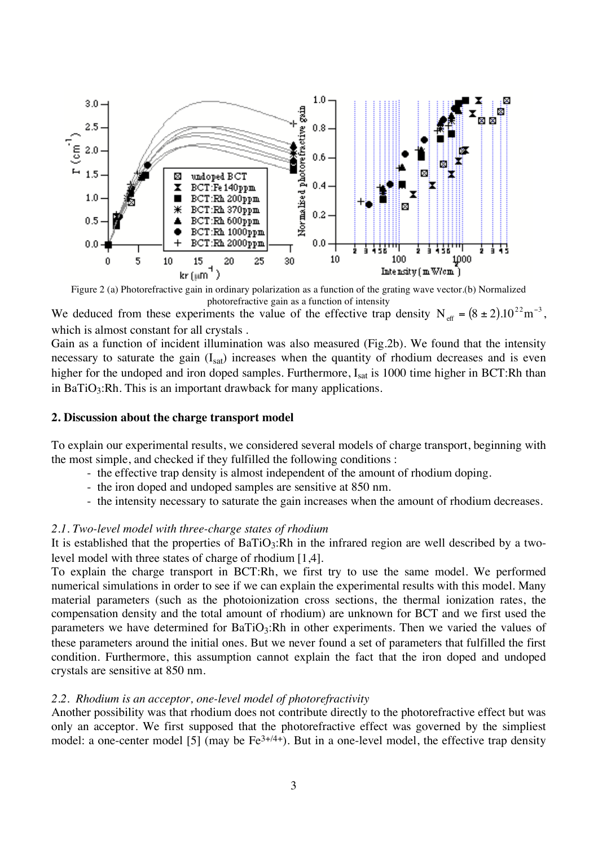

Figure 2 (a) Photorefractive gain in ordinary polarization as a function of the grating wave vector.(b) Normalized photorefractive gain as a function of intensity

We deduced from these experiments the value of the effective trap density  $N_{\text{eff}} = (8 \pm 2) \cdot 10^{22} \text{ m}^{-3}$ , which is almost constant for all crystals .

Gain as a function of incident illumination was also measured (Fig.2b). We found that the intensity necessary to saturate the gain  $(I<sub>sat</sub>)$  increases when the quantity of rhodium decreases and is even higher for the undoped and iron doped samples. Furthermore,  $I_{\text{sat}}$  is 1000 time higher in BCT:Rh than in BaTiO<sub>3</sub>:Rh. This is an important drawback for many applications.

## **2. Discussion about the charge transport model**

To explain our experimental results, we considered several models of charge transport, beginning with the most simple, and checked if they fulfilled the following conditions :

- the effective trap density is almost independent of the amount of rhodium doping.
- the iron doped and undoped samples are sensitive at 850 nm.
- the intensity necessary to saturate the gain increases when the amount of rhodium decreases.

## *2.1. Two-level model with three-charge states of rhodium*

It is established that the properties of  $BaTiO_3:Rh$  in the infrared region are well described by a twolevel model with three states of charge of rhodium [1,4].

To explain the charge transport in BCT:Rh, we first try to use the same model. We performed numerical simulations in order to see if we can explain the experimental results with this model. Many material parameters (such as the photoionization cross sections, the thermal ionization rates, the compensation density and the total amount of rhodium) are unknown for BCT and we first used the parameters we have determined for  $BaTiO<sub>3</sub>:Rh$  in other experiments. Then we varied the values of these parameters around the initial ones. But we never found a set of parameters that fulfilled the first condition. Furthermore, this assumption cannot explain the fact that the iron doped and undoped crystals are sensitive at 850 nm.

#### *2.2. Rhodium is an acceptor, one-level model of photorefractivity*

Another possibility was that rhodium does not contribute directly to the photorefractive effect but was only an acceptor. We first supposed that the photorefractive effect was governed by the simpliest model: a one-center model [5] (may be  $Fe^{3+/4+}$ ). But in a one-level model, the effective trap density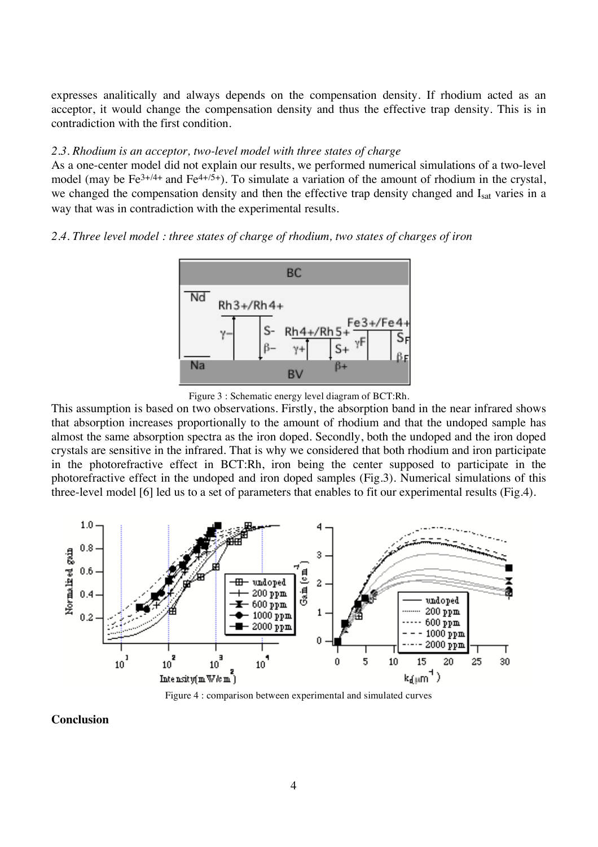expresses analitically and always depends on the compensation density. If rhodium acted as an acceptor, it would change the compensation density and thus the effective trap density. This is in contradiction with the first condition.

## *2.3. Rhodium is an acceptor, two-level model with three states of charge*

As a one-center model did not explain our results, we performed numerical simulations of a two-level model (may be  $Fe^{3+/4+}$  and  $Fe^{4+/5+}$ ). To simulate a variation of the amount of rhodium in the crystal, we changed the compensation density and then the effective trap density changed and Isat varies in a way that was in contradiction with the experimental results.

## *2.4. Three level model : three states of charge of rhodium, two states of charges of iron*



Figure 3 : Schematic energy level diagram of BCT:Rh.

This assumption is based on two observations. Firstly, the absorption band in the near infrared shows that absorption increases proportionally to the amount of rhodium and that the undoped sample has almost the same absorption spectra as the iron doped. Secondly, both the undoped and the iron doped crystals are sensitive in the infrared. That is why we considered that both rhodium and iron participate in the photorefractive effect in BCT:Rh, iron being the center supposed to participate in the photorefractive effect in the undoped and iron doped samples (Fig.3). Numerical simulations of this three-level model [6] led us to a set of parameters that enables to fit our experimental results (Fig.4).



Figure 4 : comparison between experimental and simulated curves

**Conclusion**